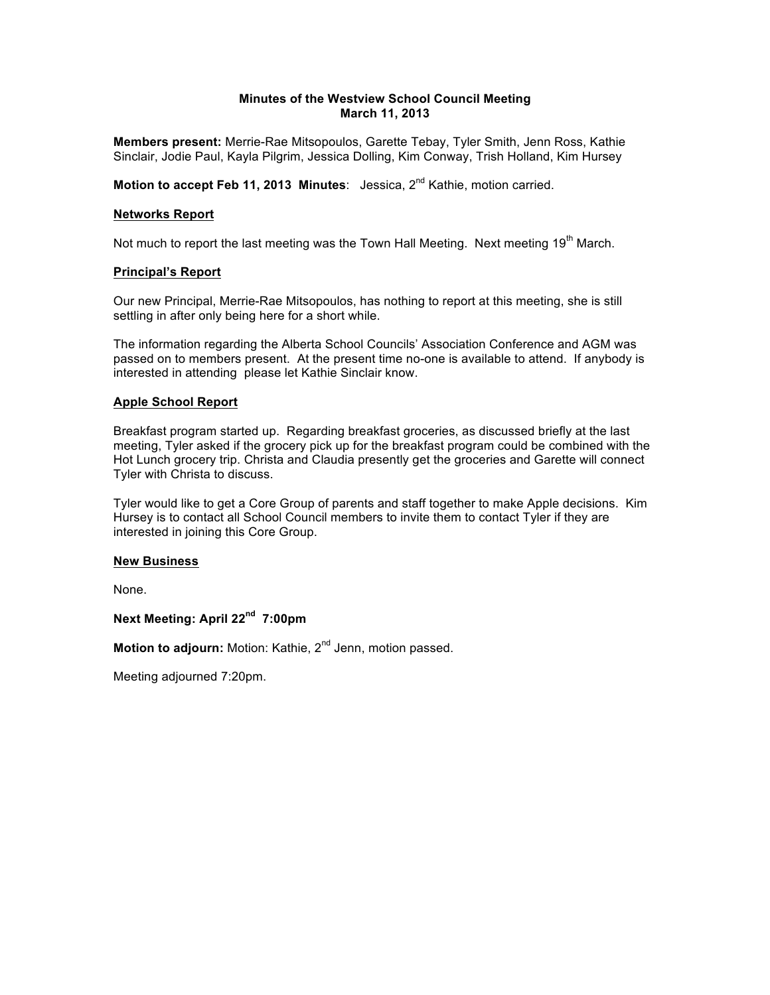# **Minutes of the Westview School Council Meeting March 11, 2013**

**Members present:** Merrie-Rae Mitsopoulos, Garette Tebay, Tyler Smith, Jenn Ross, Kathie Sinclair, Jodie Paul, Kayla Pilgrim, Jessica Dolling, Kim Conway, Trish Holland, Kim Hursey

**Motion to accept Feb 11, 2013 Minutes:** Jessica, 2<sup>nd</sup> Kathie, motion carried.

# **Networks Report**

Not much to report the last meeting was the Town Hall Meeting. Next meeting 19<sup>th</sup> March.

### **Principal's Report**

Our new Principal, Merrie-Rae Mitsopoulos, has nothing to report at this meeting, she is still settling in after only being here for a short while.

The information regarding the Alberta School Councils' Association Conference and AGM was passed on to members present. At the present time no-one is available to attend. If anybody is interested in attending please let Kathie Sinclair know.

### **Apple School Report**

Breakfast program started up. Regarding breakfast groceries, as discussed briefly at the last meeting, Tyler asked if the grocery pick up for the breakfast program could be combined with the Hot Lunch grocery trip. Christa and Claudia presently get the groceries and Garette will connect Tyler with Christa to discuss.

Tyler would like to get a Core Group of parents and staff together to make Apple decisions. Kim Hursey is to contact all School Council members to invite them to contact Tyler if they are interested in joining this Core Group.

#### **New Business**

None.

**Next Meeting: April 22nd 7:00pm**

Motion to adjourn: Motion: Kathie, 2<sup>nd</sup> Jenn, motion passed.

Meeting adjourned 7:20pm.